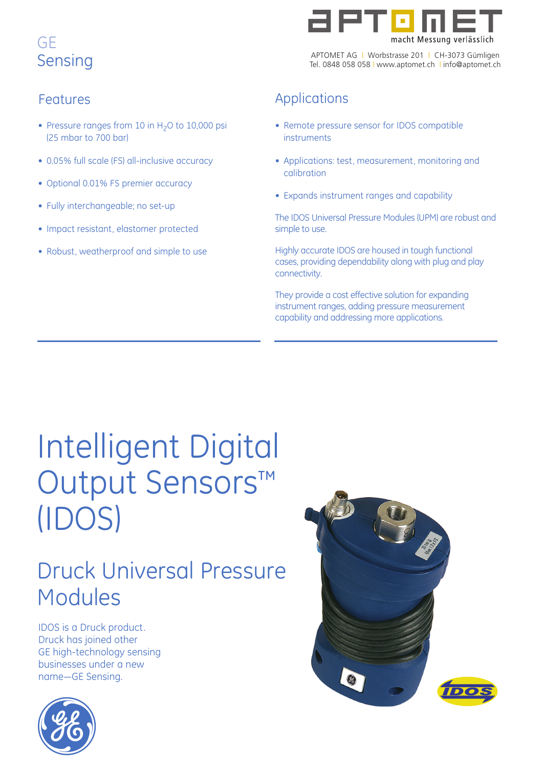

APTOMET AG I Worbstrasse 201 I CH-3073 Gümligen Tel. 0848 058 058 I www.aptomet.ch I info@aptomet.ch

## Features

- Pressure ranges from 10 in  $H<sub>2</sub>O$  to 10,000 psi (25 mbar to 700 bar)
- 0.05% full scale (FS) all-inclusive accuracy
- Optional 0.01% FS premier accuracy
- Fully interchangeable; no set-up
- Impact resistant, elastomer protected
- Robust, weatherproof and simple to use

## Applications

- Remote pressure sensor for IDOS compatible instruments
- Applications: test, measurement, monitoring and calibration
- Expands instrument ranges and capability

The IDOS Universal Pressure Modules (UPM) are robust and simple to use.

Highly accurate IDOS are housed in tough functional cases, providing dependability along with plug and play connectivity.

They provide a cost effective solution for expanding instrument ranges, adding pressure measurement capability and addressing more applications.

# Intelligent Digital Output Sensors™ (IDOS)

## Druck Universal Pressure Modules

IDOS is a Druck product. Druck has joined other GE high-technology sensing businesses under a new name—GE Sensing.



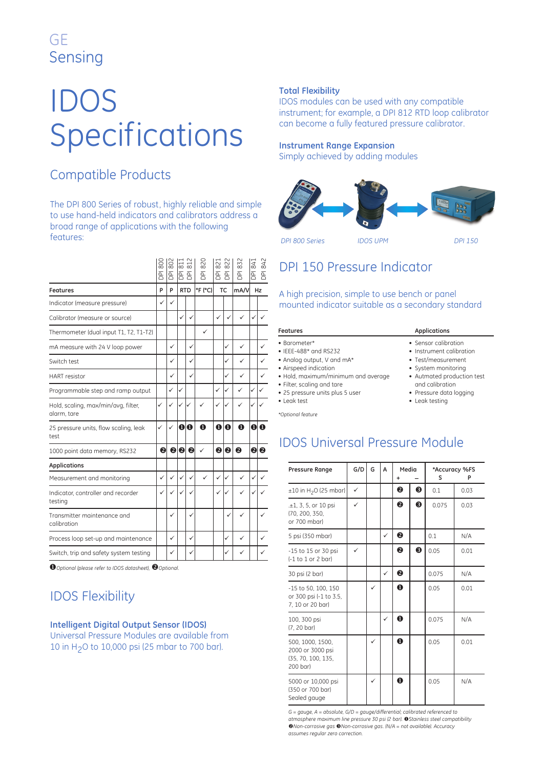# IDOS Specifications

## Compatible Products

The DPI 800 Series of robust, highly reliable and simple to use hand-held indicators and calibrators address a broad range of applications with the following features:

|                                                                            | 800<br>$\overline{B}$ | 802<br>$\overline{B}$ | 811<br>$\overline{B}$ $\overline{B}$ | 812              | 820<br>$\overline{a}$ | 821<br>좀 좀   | 822              | 832<br>$\overline{B}$ | 841<br>ā | 842<br>$\overline{B}$ |
|----------------------------------------------------------------------------|-----------------------|-----------------------|--------------------------------------|------------------|-----------------------|--------------|------------------|-----------------------|----------|-----------------------|
| <b>Features</b>                                                            | P                     | Þ                     |                                      | <b>RTD</b>       | °F (°C)               |              | <b>TC</b>        | mA/V                  |          | Hz                    |
| Indicator (measure pressure)                                               | $\checkmark$          | ✓                     |                                      |                  |                       |              |                  |                       |          |                       |
| Calibrator (measure or source)                                             |                       |                       | ✓                                    | $\checkmark$     |                       | ✓            | ✓                | ✓                     | ✓        | ✓                     |
| Thermometer (dual input T1, T2, T1-T2)                                     |                       |                       |                                      |                  | ✓                     |              |                  |                       |          |                       |
| mA measure with 24 V loop power                                            |                       | ✓                     |                                      | $\checkmark$     |                       |              | ✓                | ✓                     |          | ✓                     |
| Switch test                                                                |                       | ✓                     |                                      | ✓                |                       |              | ✓                | ✓                     |          | ✓                     |
| <b>HART</b> resistor                                                       |                       | ✓                     |                                      | ✓                |                       |              | ✓                | ✓                     |          | ✓                     |
| Programmable step and ramp output                                          |                       | $\checkmark$          | ✓                                    |                  |                       | ✓            | ✓                | ✓                     | ✓        | ✓                     |
| Hold, scaling, max/min/avg, filter,<br>alarm, tare                         | ✓                     | ✓                     | ✓                                    | ✓                |                       | $\checkmark$ | ✓                | ✓                     | ✓        |                       |
| 25 pressure units, flow scaling, leak<br>test                              | ✓                     | ✓                     | $\bf{0}$                             | $\mathbf 0$      | $\mathbf 0$           | $\mathbf 0$  | $\bf o$          | $\bf{0}$              | O        | $\bf{0}$              |
| 1000 point data memory, RS232                                              | 0                     | $\boldsymbol{e}$      | ❷                                    | $\boldsymbol{Q}$ | ✓                     | $\mathbf{Q}$ | $\boldsymbol{Q}$ | 0                     |          | 00                    |
| <b>Applications</b>                                                        |                       |                       |                                      |                  |                       |              |                  |                       |          |                       |
| Measurement and monitoring                                                 | $\checkmark$          | ✓                     | $\checkmark$                         | $\checkmark$     | $\checkmark$          | ✓            | ✓                | ✓                     | ✓        | ✓                     |
| Indicator, controller and recorder<br>testing                              | ✓                     | ✓                     |                                      |                  |                       | ✓            | ✓                | ✓                     |          |                       |
| Transmitter maintenance and<br>calibration                                 |                       | ✓                     |                                      | ✓                |                       |              | ✓                | ✓                     |          | ✓                     |
| Process loop set-up and maintenance                                        |                       | ✓                     |                                      | $\checkmark$     |                       |              | ✓                | ✓                     |          | ✓                     |
| Switch, trip and safety system testing                                     |                       | ✓                     |                                      | ✓                |                       |              | ✓                | ✓                     |          | ✓                     |
| <b>①</b> Optional (please refer to IDOS datasheet), <sup>2</sup> Optional. |                       |                       |                                      |                  |                       |              |                  |                       |          |                       |

 $\bullet$  Optional (please refer to IDOS datasheet), <sup>2</sup> Optional.

## IDOS Flexibility

#### **Intelligent Digital Output Sensor (IDOS)**

Universal Pressure Modules are available from 10 in H2O to 10,000 psi (25 mbar to 700 bar).

#### **Total Flexibility**

IDOS modules can be used with any compatible instrument; for example, a DPI 812 RTD loop calibrator can become a fully featured pressure calibrator.

#### **Instrument Range Expansion**

Simply achieved by adding modules



## DPI 150 Pressure Indicator

#### A high precision, simple to use bench or panel mounted indicator suitable as a secondary standard

| <b>Features</b>                                                                                                                                                                                                             | <b>Applications</b>                                                                                                                                                                         |  |  |  |
|-----------------------------------------------------------------------------------------------------------------------------------------------------------------------------------------------------------------------------|---------------------------------------------------------------------------------------------------------------------------------------------------------------------------------------------|--|--|--|
| • Barometer*<br>$\bullet$ IEEE-488* and RS232<br>• Analog output, V and mA*<br>• Airspeed indication<br>• Hold, maximum/minimum and average<br>• Filter, scaling and tare<br>• 25 pressure units plus 5 user<br>• Leak test | • Sensor calibration<br>• Instrument calibration<br>• Test/measurement<br>• System monitoring<br>• Autmated production test<br>and calibration<br>• Pressure data logging<br>• Leak testing |  |  |  |
|                                                                                                                                                                                                                             |                                                                                                                                                                                             |  |  |  |

*\*Optional feature*

### IDOS Universal Pressure Module

| <b>Pressure Range</b>                                                  | G/D          | G | A            | Media       |   | S     | *Accuracy %FS<br>Ρ |
|------------------------------------------------------------------------|--------------|---|--------------|-------------|---|-------|--------------------|
| $\pm 10$ in H <sub>2</sub> O (25 mbar)                                 | $\checkmark$ |   |              | 0           | ❸ | 0.1   | 0.03               |
| $.±1, 3, 5,$ or 10 psi<br>(70, 200, 350,<br>or 700 mbar)               | $\checkmark$ |   |              | ❷           | ❸ | 0.075 | 0.03               |
| 5 psi (350 mbar)                                                       |              |   | ✓            | ❷           |   | 0.1   | N/A                |
| -15 to 15 or 30 psi<br>$(-1)$ to $1$ or $2$ bar)                       | ✓            |   |              | ❷           | ❸ | 0.05  | 0.01               |
| 30 psi (2 bar)                                                         |              |   | $\checkmark$ | 0           |   | 0.075 | N/A                |
| -15 to 50, 100, 150<br>or 300 psi (-1 to 3.5,<br>7. 10 or 20 bar)      |              |   |              | $\mathbf 0$ |   | 0.05  | 0.01               |
| 100, 300 psi<br>(7, 20 bar)                                            |              |   | ✓            | $\bf{0}$    |   | 0.075 | N/A                |
| 500, 1000, 1500,<br>2000 or 3000 psi<br>(35, 70, 100, 135,<br>200 bar) |              |   |              | $\mathbf 0$ |   | 0.05  | 0.01               |
| 5000 or 10,000 psi<br>(350 or 700 bar)<br>Sealed gauge                 |              | ✓ |              | $\mathbf 0$ |   | 0.05  | N/A                |

*G = gauge, A = absolute, G/D = gauge/differential; calibrated referenced to atmosphere maximum line pressure 30 psi (2 bar). Stainless steel compatibility* -*Non-corrosive gas Non-corrosive gas. (N/A = not available). Accuracy assumes regular zero correction.*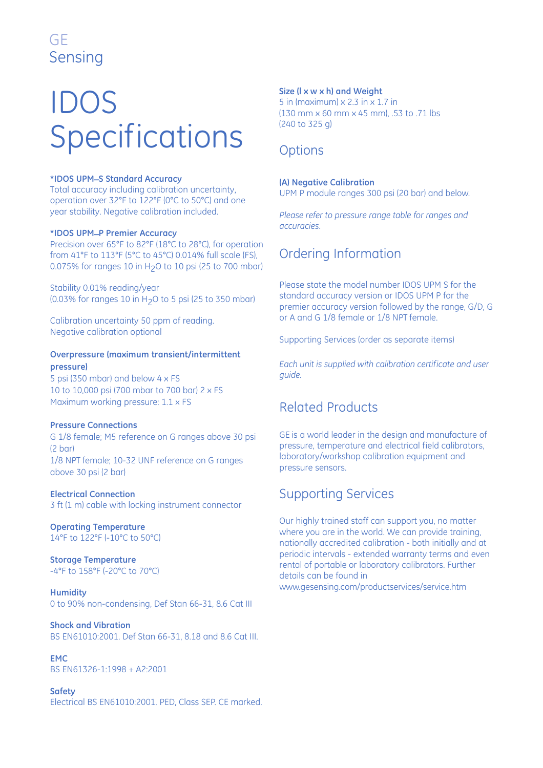# IDOS Specifications

#### **\*IDOS UPM\_S Standard Accuracy**

Total accuracy including calibration uncertainty, operation over 32°F to 122°F (0°C to 50°C) and one year stability. Negative calibration included.

#### **\*IDOS UPM\_P Premier Accuracy**

Precision over 65°F to 82°F (18°C to 28°C), for operation from 41°F to 113°F (5°C to 45°C) 0.014% full scale (FS), 0.075% for ranges 10 in  $H<sub>2</sub>O$  to 10 psi (25 to 700 mbar)

Stability 0.01% reading/year (0.03% for ranges 10 in H<sub>2</sub>O to 5 psi (25 to 350 mbar)

Calibration uncertainty 50 ppm of reading. Negative calibration optional

#### **Overpressure (maximum transient/intermittent pressure)**

5 psi (350 mbar) and below 4 x FS 10 to 10,000 psi (700 mbar to 700 bar) 2 x FS Maximum working pressure: 1.1 x FS

#### **Pressure Connections**

G 1/8 female; M5 reference on G ranges above 30 psi (2 bar) 1/8 NPT female; 10-32 UNF reference on G ranges above 30 psi (2 bar)

#### **Electrical Connection**

3 ft (1 m) cable with locking instrument connector

#### **Operating Temperature**

14°F to 122°F (-10°C to 50°C)

#### **Storage Temperature**

-4°F to 158°F (-20°C to 70°C)

**Humidity** 0 to 90% non-condensing, Def Stan 66-31, 8.6 Cat III

**Shock and Vibration** BS EN61010:2001. Def Stan 66-31, 8.18 and 8.6 Cat III.

**EMC** BS EN61326-1:1998 + A2:2001

**Safety** Electrical BS EN61010:2001. PED, Class SEP. CE marked.

#### **Size (l x w x h) and Weight**

5 in (maximum) x 2.3 in x 1.7 in (130 mm x 60 mm x 45 mm), .53 to .71 lbs (240 to 325 g)

### **Options**

#### **(A) Negative Calibration**

UPM P module ranges 300 psi (20 bar) and below.

*Please refer to pressure range table for ranges and accuracies.*

## Ordering Information

Please state the model number IDOS UPM S for the standard accuracy version or IDOS UPM P for the premier accuracy version followed by the range, G/D, G or A and G 1/8 female or 1/8 NPT female.

Supporting Services (order as separate items)

*Each unit is supplied with calibration certificate and user guide.*

## Related Products

GE is a world leader in the design and manufacture of pressure, temperature and electrical field calibrators, laboratory/workshop calibration equipment and pressure sensors.

### Supporting Services

Our highly trained staff can support you, no matter where you are in the world. We can provide training, nationally accredited calibration - both initially and at periodic intervals - extended warranty terms and even rental of portable or laboratory calibrators. Further details can be found in www.gesensing.com/productservices/service.htm